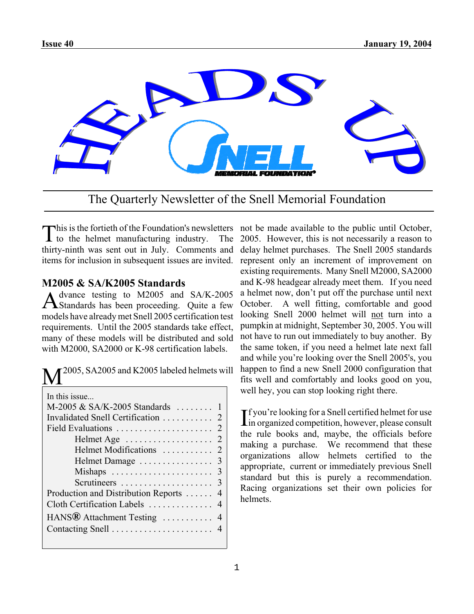

The Quarterly Newsletter of the Snell Memorial Foundation

This is the fortieth of the Foundation's newsletters not be made available to the public until October, to the helmet manufacturing industry. The 2005. However, this is not necessarily a reason to  $\bf{l}$  to the helmet manufacturing industry. The thirty-ninth was sent out in July. Comments and items for inclusion in subsequent issues are invited.

# **M2005 & SA/K2005 Standards**

Advance testing to M2005 and SA/K-2005 Standards has been proceeding. Quite a few models have already met Snell 2005 certification test requirements. Until the 2005 standards take effect, many of these models will be distributed and sold with M2000, SA2000 or K-98 certification labels.

| $\mathbf{M}^{2005, \, \mathrm{SA}2005 \, \mathrm{and} \, \mathrm{K}2005 \, \mathrm{labeled \, helmets \, will}}$ |
|------------------------------------------------------------------------------------------------------------------|
|                                                                                                                  |

| In this issue                           |  |  |  |
|-----------------------------------------|--|--|--|
| M-2005 & SA/K-2005 Standards  1         |  |  |  |
| Invalidated Snell Certification 2       |  |  |  |
|                                         |  |  |  |
|                                         |  |  |  |
|                                         |  |  |  |
|                                         |  |  |  |
|                                         |  |  |  |
|                                         |  |  |  |
| Production and Distribution Reports  4  |  |  |  |
| Cloth Certification Labels  4           |  |  |  |
| HANS <sup>®</sup> Attachment Testing  4 |  |  |  |
|                                         |  |  |  |
|                                         |  |  |  |

2005. However, this is not necessarily a reason to delay helmet purchases. The Snell 2005 standards represent only an increment of improvement on existing requirements. Many Snell M2000, SA2000 and K-98 headgear already meet them. If you need a helmet now, don't put off the purchase until next October. A well fitting, comfortable and good looking Snell 2000 helmet will not turn into a pumpkin at midnight, September 30, 2005. You will not have to run out immediately to buy another. By the same token, if you need a helmet late next fall and while you're looking over the Snell 2005's, you happen to find a new Snell 2000 configuration that fits well and comfortably and looks good on you, well hey, you can stop looking right there.

If you're looking for a Snell certified helmet for use<br>In organized competition, however, please consult  $\blacktriangleright$  f you're looking for a Snell certified helmet for use the rule books and, maybe, the officials before making a purchase. We recommend that these organizations allow helmets certified to the appropriate, current or immediately previous Snell standard but this is purely a recommendation. Racing organizations set their own policies for helmets.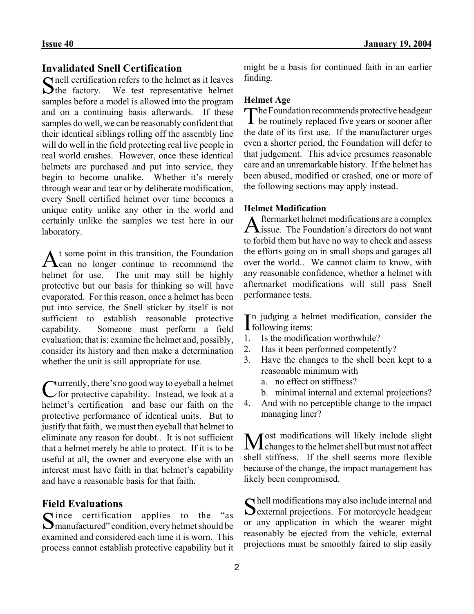# **Invalidated Snell Certification**

 $\Gamma$  nell certification refers to the helmet as it leaves  $\sum$ the factory. We test representative helmet samples before a model is allowed into the program and on a continuing basis afterwards. If these samples do well, we can be reasonably confident that their identical siblings rolling off the assembly line will do well in the field protecting real live people in real world crashes. However, once these identical helmets are purchased and put into service, they begin to become unalike. Whether it's merely through wear and tear or by deliberate modification, every Snell certified helmet over time becomes a unique entity unlike any other in the world and certainly unlike the samples we test here in our laboratory.

At some point in this transition, the Foundation<br>Can no longer continue to recommend the helmet for use. The unit may still be highly protective but our basis for thinking so will have evaporated. For this reason, once a helmet has been put into service, the Snell sticker by itself is not sufficient to establish reasonable protective capability. Someone must perform a field evaluation; that is: examine the helmet and, possibly, consider its history and then make a determination whether the unit is still appropriate for use.

Currently, there's no good way to eyeball a helmet for protective capability. Instead, we look at a helmet's certification and base our faith on the protective performance of identical units. But to justify that faith, we must then eyeball that helmet to eliminate any reason for doubt.. It is not sufficient that a helmet merely be able to protect. If it is to be useful at all, the owner and everyone else with an interest must have faith in that helmet's capability and have a reasonable basis for that faith.

**Field Evaluations**<br> **C** ince certification applies to Since certification applies to the "as<br>
Smanufactured" condition, every helmet should be examined and considered each time it is worn. This process cannot establish protective capability but it might be a basis for continued faith in an earlier finding.

### **Helmet Age**

The Foundation recommends protective headgear be routinely replaced five years or sooner after the date of its first use. If the manufacturer urges even a shorter period, the Foundation will defer to that judgement. This advice presumes reasonable care and an unremarkable history. If the helmet has been abused, modified or crashed, one or more of the following sections may apply instead.

## **Helmet Modification**

Aftermarket helmet modifications are a complex  $\Lambda$  issue. The Foundation's directors do not want to forbid them but have no way to check and assess the efforts going on in small shops and garages all over the world.. We cannot claim to know, with any reasonable confidence, whether a helmet with aftermarket modifications will still pass Snell performance tests.

In judging a helmet modification, consider the following items: **I** following items:

- 1. Is the modification worthwhile?
- 2. Has it been performed competently?
- 3. Have the changes to the shell been kept to a reasonable minimum with
	- a. no effect on stiffness?
	- b. minimal internal and external projections?
- 4. And with no perceptible change to the impact managing liner?

 $M$ ost modifications will likely include slight<br>Changes to the helmet shell but must not affect shell stiffness. If the shell seems more flexible because of the change, the impact management has likely been compromised.

 $\bigcap$  hell modifications may also include internal and **O** external projections. For motorcycle headgear or any application in which the wearer might reasonably be ejected from the vehicle, external projections must be smoothly faired to slip easily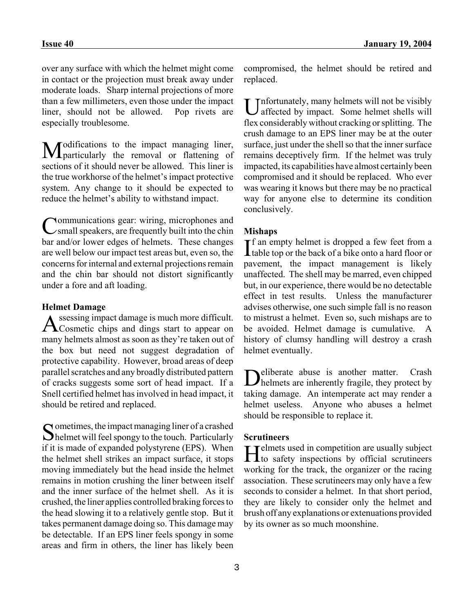over any surface with which the helmet might come in contact or the projection must break away under moderate loads. Sharp internal projections of more than a few millimeters, even those under the impact liner, should not be allowed. Pop rivets are especially troublesome.

Modifications to the impact managing liner, particularly the removal or flattening of sections of it should never be allowed. This liner is the true workhorse of the helmet's impact protective system. Any change to it should be expected to reduce the helmet's ability to withstand impact.

Communications gear: wiring, microphones and<br>
Csmall speakers, are frequently built into the chin bar and/or lower edges of helmets. These changes are well below our impact test areas but, even so, the concerns for internal and external projections remain and the chin bar should not distort significantly under a fore and aft loading.

### **Helmet Damage**

Assessing impact damage is much more difficult. Cosmetic chips and dings start to appear on many helmets almost as soon as they're taken out of the box but need not suggest degradation of protective capability. However, broad areas of deep parallel scratches and any broadly distributed pattern of cracks suggests some sort of head impact. If a Snell certified helmet has involved in head impact, it should be retired and replaced.

 $\Omega$  ometimes, the impact managing liner of a crashed helmet will feel spongy to the touch. Particularly if it is made of expanded polystyrene (EPS). When the helmet shell strikes an impact surface, it stops moving immediately but the head inside the helmet remains in motion crushing the liner between itself and the inner surface of the helmet shell. As it is crushed, the liner applies controlled braking forces to the head slowing it to a relatively gentle stop. But it takes permanent damage doing so. This damage may be detectable. If an EPS liner feels spongy in some areas and firm in others, the liner has likely been

compromised, the helmet should be retired and replaced.

Unfortunately, many helmets will not be visibly affected by impact. Some helmet shells will flex considerably without cracking or splitting. The crush damage to an EPS liner may be at the outer surface, just under the shell so that the inner surface remains deceptively firm. If the helmet was truly impacted, its capabilities have almost certainly been compromised and it should be replaced. Who ever was wearing it knows but there may be no practical way for anyone else to determine its condition conclusively.

### **Mishaps**

If an empty helmet is dropped a few feet from a table top or the back of a bike onto a hard floor or **L** table top or the back of a bike onto a hard floor or pavement, the impact management is likely unaffected. The shell may be marred, even chipped but, in our experience, there would be no detectable effect in test results. Unless the manufacturer advises otherwise, one such simple fall is no reason to mistrust a helmet. Even so, such mishaps are to be avoided. Helmet damage is cumulative. A history of clumsy handling will destroy a crash helmet eventually.

Deliberate abuse is another matter. Crash helmets are inherently fragile, they protect by taking damage. An intemperate act may render a helmet useless. Anyone who abuses a helmet should be responsible to replace it.

#### **Scrutineers**

 $\mathbf{T}$  Telmets used in competition are usually subject  $\blacksquare$  I to safety inspections by official scrutineers working for the track, the organizer or the racing association. These scrutineers may only have a few seconds to consider a helmet. In that short period, they are likely to consider only the helmet and brush off any explanations or extenuations provided by its owner as so much moonshine.